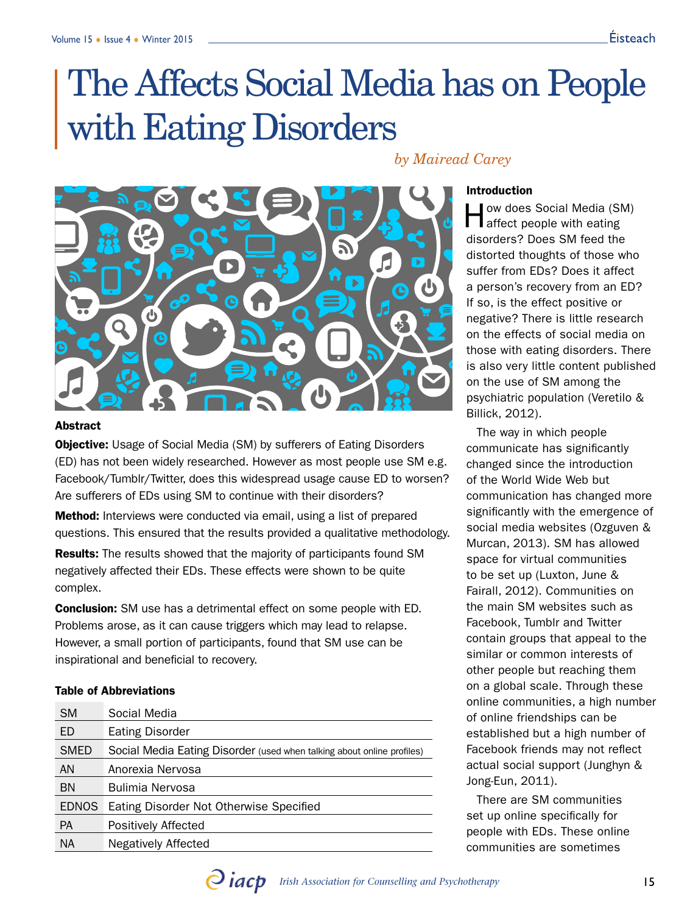# The Affects Social Media has on People with Eating Disorders

# *by Mairead Carey*



# **Abstract**

**Objective:** Usage of Social Media (SM) by sufferers of Eating Disorders (ED) has not been widely researched. However as most people use SM e.g. Facebook/Tumblr/Twitter, does this widespread usage cause ED to worsen? Are sufferers of EDs using SM to continue with their disorders?

**Method:** Interviews were conducted via email, using a list of prepared questions. This ensured that the results provided a qualitative methodology.

Results: The results showed that the majority of participants found SM negatively affected their EDs. These effects were shown to be quite complex.

**Conclusion:** SM use has a detrimental effect on some people with ED. Problems arose, as it can cause triggers which may lead to relapse. However, a small portion of participants, found that SM use can be inspirational and beneficial to recovery.

# Table of Abbreviations

| <b>SM</b>    | Social Media                                                           |
|--------------|------------------------------------------------------------------------|
| ED           | <b>Eating Disorder</b>                                                 |
| <b>SMED</b>  | Social Media Eating Disorder (used when talking about online profiles) |
| AN           | Anorexia Nervosa                                                       |
| <b>BN</b>    | Bulimia Nervosa                                                        |
| <b>EDNOS</b> | Eating Disorder Not Otherwise Specified                                |
| <b>PA</b>    | Positively Affected                                                    |
| <b>NA</b>    | Negatively Affected                                                    |

#### Introduction

How does Social Media (SM) affect people with eating disorders? Does SM feed the distorted thoughts of those who suffer from EDs? Does it affect a person's recovery from an ED? If so, is the effect positive or negative? There is little research on the effects of social media on those with eating disorders. There is also very little content published on the use of SM among the psychiatric population (Veretilo & Billick, 2012).

The way in which people communicate has significantly changed since the introduction of the World Wide Web but communication has changed more significantly with the emergence of social media websites (Ozguven & Murcan, 2013). SM has allowed space for virtual communities to be set up (Luxton, June & Fairall, 2012). Communities on the main SM websites such as Facebook, Tumblr and Twitter contain groups that appeal to the similar or common interests of other people but reaching them on a global scale. Through these online communities, a high number of online friendships can be established but a high number of Facebook friends may not reflect actual social support (Junghyn & Jong-Eun, 2011).

There are SM communities set up online specifically for people with EDs. These online communities are sometimes

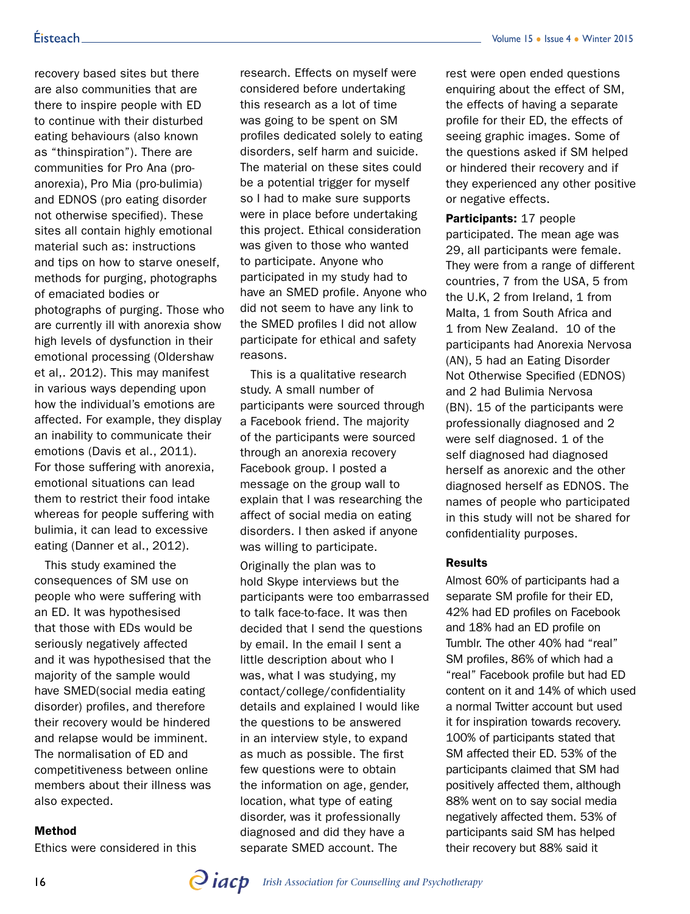# Éisteach\_

recovery based sites but there are also communities that are there to inspire people with ED to continue with their disturbed eating behaviours (also known as "thinspiration"). There are communities for Pro Ana (proanorexia), Pro Mia (pro-bulimia) and EDNOS (pro eating disorder not otherwise specified). These sites all contain highly emotional material such as: instructions and tips on how to starve oneself, methods for purging, photographs of emaciated bodies or photographs of purging. Those who are currently ill with anorexia show high levels of dysfunction in their emotional processing (Oldershaw et al,. 2012). This may manifest in various ways depending upon how the individual's emotions are affected. For example, they display an inability to communicate their emotions (Davis et al., 2011). For those suffering with anorexia, emotional situations can lead them to restrict their food intake whereas for people suffering with bulimia, it can lead to excessive eating (Danner et al., 2012).

This study examined the consequences of SM use on people who were suffering with an ED. It was hypothesised that those with EDs would be seriously negatively affected and it was hypothesised that the majority of the sample would have SMED(social media eating disorder) profiles, and therefore their recovery would be hindered and relapse would be imminent. The normalisation of ED and competitiveness between online members about their illness was also expected.

# Method

Ethics were considered in this

research. Effects on myself were considered before undertaking this research as a lot of time was going to be spent on SM profiles dedicated solely to eating disorders, self harm and suicide. The material on these sites could be a potential trigger for myself so I had to make sure supports were in place before undertaking this project. Ethical consideration was given to those who wanted to participate. Anyone who participated in my study had to have an SMED profile. Anyone who did not seem to have any link to the SMED profiles I did not allow participate for ethical and safety reasons.

This is a qualitative research study. A small number of participants were sourced through a Facebook friend. The majority of the participants were sourced through an anorexia recovery Facebook group. I posted a message on the group wall to explain that I was researching the affect of social media on eating disorders. I then asked if anyone was willing to participate.

Originally the plan was to hold Skype interviews but the participants were too embarrassed to talk face-to-face. It was then decided that I send the questions by email. In the email I sent a little description about who I was, what I was studying, my contact/college/confidentiality details and explained I would like the questions to be answered in an interview style, to expand as much as possible. The first few questions were to obtain the information on age, gender, location, what type of eating disorder, was it professionally diagnosed and did they have a separate SMED account. The

rest were open ended questions enquiring about the effect of SM, the effects of having a separate profile for their ED, the effects of seeing graphic images. Some of the questions asked if SM helped or hindered their recovery and if they experienced any other positive or negative effects.

Participants: 17 people participated. The mean age was 29, all participants were female. They were from a range of different countries, 7 from the USA, 5 from the U.K, 2 from Ireland, 1 from Malta, 1 from South Africa and 1 from New Zealand. 10 of the participants had Anorexia Nervosa (AN), 5 had an Eating Disorder Not Otherwise Specified (EDNOS) and 2 had Bulimia Nervosa (BN). 15 of the participants were professionally diagnosed and 2 were self diagnosed. 1 of the self diagnosed had diagnosed herself as anorexic and the other diagnosed herself as EDNOS. The names of people who participated in this study will not be shared for confidentiality purposes.

# Results

Almost 60% of participants had a separate SM profile for their ED, 42% had ED profiles on Facebook and 18% had an ED profile on Tumblr. The other 40% had "real" SM profiles, 86% of which had a "real" Facebook profile but had ED content on it and 14% of which used a normal Twitter account but used it for inspiration towards recovery. 100% of participants stated that SM affected their ED. 53% of the participants claimed that SM had positively affected them, although 88% went on to say social media negatively affected them. 53% of participants said SM has helped their recovery but 88% said it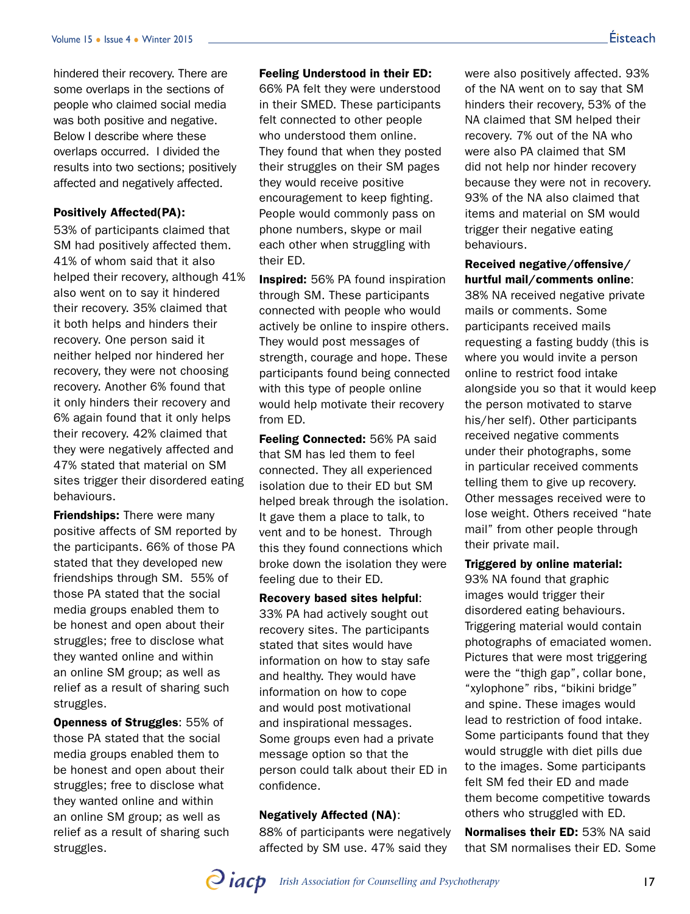hindered their recovery. There are some overlaps in the sections of people who claimed social media was both positive and negative. Below I describe where these overlaps occurred. I divided the results into two sections; positively affected and negatively affected.

# Positively Affected(PA):

53% of participants claimed that SM had positively affected them. 41% of whom said that it also helped their recovery, although 41% also went on to say it hindered their recovery. 35% claimed that it both helps and hinders their recovery. One person said it neither helped nor hindered her recovery, they were not choosing recovery. Another 6% found that it only hinders their recovery and 6% again found that it only helps their recovery. 42% claimed that they were negatively affected and 47% stated that material on SM sites trigger their disordered eating behaviours.

**Friendships:** There were many positive affects of SM reported by the participants. 66% of those PA stated that they developed new friendships through SM. 55% of those PA stated that the social media groups enabled them to be honest and open about their struggles; free to disclose what they wanted online and within an online SM group; as well as relief as a result of sharing such struggles.

Openness of Struggles: 55% of those PA stated that the social media groups enabled them to be honest and open about their struggles; free to disclose what they wanted online and within an online SM group; as well as relief as a result of sharing such struggles.

## Feeling Understood in their ED:

66% PA felt they were understood in their SMED. These participants felt connected to other people who understood them online. They found that when they posted their struggles on their SM pages they would receive positive encouragement to keep fighting. People would commonly pass on phone numbers, skype or mail each other when struggling with their ED.

Inspired: 56% PA found inspiration through SM. These participants connected with people who would actively be online to inspire others. They would post messages of strength, courage and hope. These participants found being connected with this type of people online would help motivate their recovery from ED.

Feeling Connected: 56% PA said that SM has led them to feel connected. They all experienced isolation due to their ED but SM helped break through the isolation. It gave them a place to talk, to vent and to be honest. Through this they found connections which broke down the isolation they were feeling due to their ED.

Recovery based sites helpful: 33% PA had actively sought out recovery sites. The participants stated that sites would have information on how to stay safe and healthy. They would have information on how to cope and would post motivational and inspirational messages. Some groups even had a private message option so that the person could talk about their ED in confidence.

# Negatively Affected (NA):

88% of participants were negatively affected by SM use. 47% said they

were also positively affected. 93% of the NA went on to say that SM hinders their recovery, 53% of the NA claimed that SM helped their recovery. 7% out of the NA who were also PA claimed that SM did not help nor hinder recovery because they were not in recovery. 93% of the NA also claimed that items and material on SM would trigger their negative eating behaviours.

Received negative/offensive/ hurtful mail/comments online:

38% NA received negative private mails or comments. Some participants received mails requesting a fasting buddy (this is where you would invite a person online to restrict food intake alongside you so that it would keep the person motivated to starve his/her self). Other participants received negative comments under their photographs, some in particular received comments telling them to give up recovery. Other messages received were to lose weight. Others received "hate mail" from other people through their private mail.

# Triggered by online material:

93% NA found that graphic images would trigger their disordered eating behaviours. Triggering material would contain photographs of emaciated women. Pictures that were most triggering were the "thigh gap", collar bone, "xylophone" ribs, "bikini bridge" and spine. These images would lead to restriction of food intake. Some participants found that they would struggle with diet pills due to the images. Some participants felt SM fed their ED and made them become competitive towards others who struggled with ED.

Normalises their ED: 53% NA said that SM normalises their ED. Some

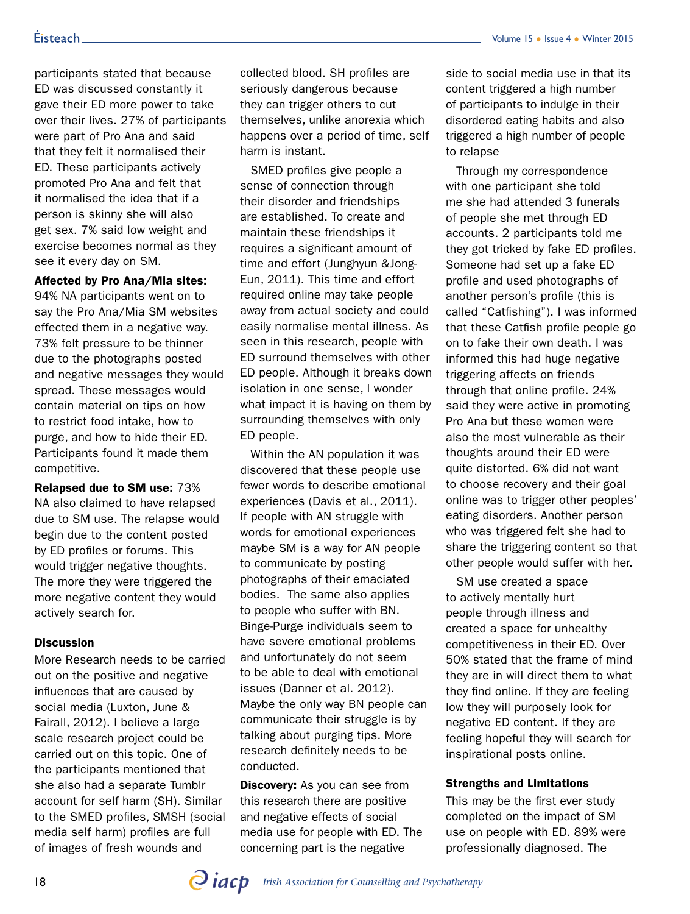participants stated that because ED was discussed constantly it gave their ED more power to take over their lives. 27% of participants were part of Pro Ana and said that they felt it normalised their ED. These participants actively promoted Pro Ana and felt that it normalised the idea that if a person is skinny she will also get sex. 7% said low weight and exercise becomes normal as they see it every day on SM.

### Affected by Pro Ana/Mia sites:

94% NA participants went on to say the Pro Ana/Mia SM websites effected them in a negative way. 73% felt pressure to be thinner due to the photographs posted and negative messages they would spread. These messages would contain material on tips on how to restrict food intake, how to purge, and how to hide their ED. Participants found it made them competitive.

Relapsed due to SM use: 73% NA also claimed to have relapsed due to SM use. The relapse would begin due to the content posted by ED profiles or forums. This would trigger negative thoughts. The more they were triggered the more negative content they would actively search for.

#### **Discussion**

More Research needs to be carried out on the positive and negative influences that are caused by social media (Luxton, June & Fairall, 2012). I believe a large scale research project could be carried out on this topic. One of the participants mentioned that she also had a separate Tumblr account for self harm (SH). Similar to the SMED profiles, SMSH (social media self harm) profiles are full of images of fresh wounds and

collected blood. SH profiles are seriously dangerous because they can trigger others to cut themselves, unlike anorexia which happens over a period of time, self harm is instant.

SMED profiles give people a sense of connection through their disorder and friendships are established. To create and maintain these friendships it requires a significant amount of time and effort (Junghyun &Jong-Eun, 2011). This time and effort required online may take people away from actual society and could easily normalise mental illness. As seen in this research, people with ED surround themselves with other ED people. Although it breaks down isolation in one sense, I wonder what impact it is having on them by surrounding themselves with only ED people.

Within the AN population it was discovered that these people use fewer words to describe emotional experiences (Davis et al., 2011). If people with AN struggle with words for emotional experiences maybe SM is a way for AN people to communicate by posting photographs of their emaciated bodies. The same also applies to people who suffer with BN. Binge-Purge individuals seem to have severe emotional problems and unfortunately do not seem to be able to deal with emotional issues (Danner et al. 2012). Maybe the only way BN people can communicate their struggle is by talking about purging tips. More research definitely needs to be conducted.

**Discovery:** As you can see from this research there are positive and negative effects of social media use for people with ED. The concerning part is the negative

side to social media use in that its content triggered a high number of participants to indulge in their disordered eating habits and also triggered a high number of people to relapse

Through my correspondence with one participant she told me she had attended 3 funerals of people she met through ED accounts. 2 participants told me they got tricked by fake ED profiles. Someone had set up a fake ED profile and used photographs of another person's profile (this is called "Catfishing"). I was informed that these Catfish profile people go on to fake their own death. I was informed this had huge negative triggering affects on friends through that online profile. 24% said they were active in promoting Pro Ana but these women were also the most vulnerable as their thoughts around their ED were quite distorted. 6% did not want to choose recovery and their goal online was to trigger other peoples' eating disorders. Another person who was triggered felt she had to share the triggering content so that other people would suffer with her.

SM use created a space to actively mentally hurt people through illness and created a space for unhealthy competitiveness in their ED. Over 50% stated that the frame of mind they are in will direct them to what they find online. If they are feeling low they will purposely look for negative ED content. If they are feeling hopeful they will search for inspirational posts online.

#### Strengths and Limitations

This may be the first ever study completed on the impact of SM use on people with ED. 89% were professionally diagnosed. The